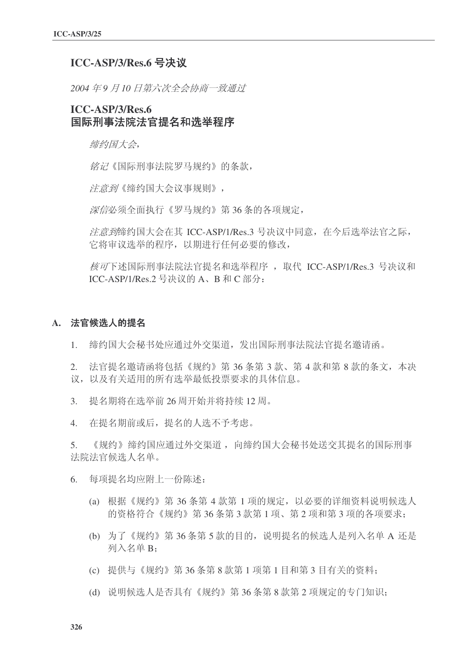## **ICC-ASP/3/Res.6 号决议**

2004年9月10日第六次全会协商一致通过

# **ICC-ASP/3/Res.6** 国际刑事法院法官提名和选举程序

缔约国大会,

铭记《国际刑事法院罗马规约》的条款,

注意到《缔约国大会议事规则》,

深信必须全面执行《罗马规约》第36条的各项规定,

疗意到缔约国大会在其 ICC-ASP/1/Res.3 号决议中同意, 在今后选举法官之际, 它将审议选举的程序,以期进行任何必要的修改,

核可下述国际刑事法院法官提名和选举程序, 取代 ICC-ASP/1/Res.3 号决议和  $ICC-ASP/1/Res.2$  号决议的  $A$ 、B 和  $C$  部分:

#### A. 法官候洗人的提名

1. 缔约国大会秘书处应通过外交渠道,发出国际刑事法院法官提名邀请函。

 $2.$  法官提名邀请函将包括《规约》第36条第3款、第4款和第8款的条文,本决 议, 以及有关适用的所有选举最低投票要求的具体信息。

- 3. 提名期将在选举前 26 周开始并将持续 12 周。
- 4. 在提名期前或后, 提名的人选不予考虑。

5. 《规约》缔约国应通过外交渠道,向缔约国大会秘书处送交其提名的国际刑事 法院法官候选人名单。

- 6. 每项提名均应附上一份陈述:
	- (a) 根据《规约》第 36 条第 4 款第 1 项的规定, 以必要的详细资料说明候选人 的资格符合《规约》第36条第3款第1项、第2项和第3项的各项要求:
	- (b) 为了《规约》第36条第5款的目的, 说明提名的候选人是列入名单 A 还是 列入名单 B:
	- (c) 提供与《规约》第 36 条第 8 款第 1 项第 1 目和第 3 目有关的资料:
	- (d) 说明候选人是否具有《规约》第36条第8款第2 项规定的专门知识;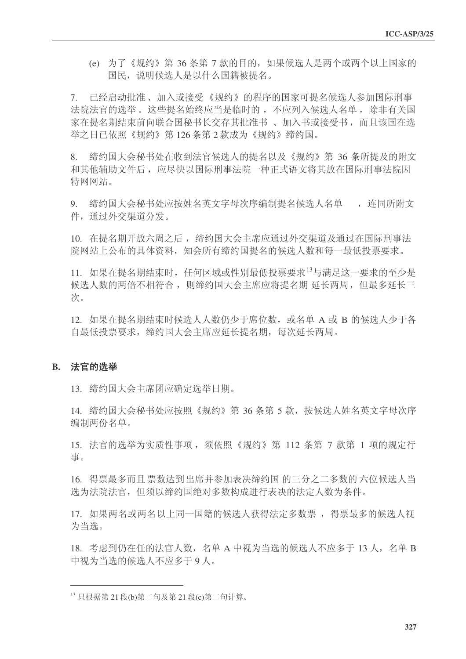(e) 为了《规约》第 36 条第 7 款的目的, 如果候选人是两个或两个以上国家的 国民, 说明候洗人是以什么国籍被提名。

7. 已经启动批准、加入或接受《规约》的程序的国家可提名候选人参加国际刑事 法院法官的选举。这些提名始终应当是临时的,不应列入候选人名单,除非有关国 家在提名期结束前向联合国秘书长交存其批准书、加入书或接受书,而且该国在选 举之日已依照《规约》第126条第2款成为《规约》缔约国。

8. 缔约国大会秘书处在收到法官候选人的提名以及《规约》第36条所提及的附文 和其他辅助文件后, 应尽快以国际刑事法院一种正式语文将其放在国际刑事法院因 特网网站。

9. 缔约国大会秘书处应按姓名英文字母次序编制提名候选人名单, 连同所附文 件, 通过外交渠道分发。

10. 在提名期开放六周之后, 缔约国大会主席应通过外交渠道及通过在国际刑事法 院网站上公布的具体资料, 知会所有缔约国提名的候选人数和每一最低投票要求。

11. 如果在提名期结束时, 任何区域或性别最低投票要求<sup>13</sup>与满足这一要求的至少是 候选人数的两倍不相符合, 则缔约国大会主席应将提名期 延长两周, 但最多延长三 次。

12. 如果在提名期结束时候选人人数仍少于席位数, 或名单 A 或 B 的候选人少于各 自最低投票要求, 缔约国大会主席应延长提名期, 每次延长两周。

### B. 法官的选举

13. 缔约国大会主席团应确定选举日期。

14. 缔约国大会秘书处应按照《规约》第36条第5款, 按候选人姓名英文字母次序 编制两份名单。

15. 法官的选举为实质性事项, 须依照《规约》第 112 条第 7 款第 1 项的规定行 事。

16. 得票最多而且票数达到出席并参加表决缔约国的三分之二多数的六位候选人当 选为法院法官,但须以缔约国绝对多数构成进行表决的法定人数为条件。

17. 如果两名或两名以上同一国籍的候选人获得法定多数票, 得票最多的候选人视 为当选。

18. 考虑到仍在任的法官人数, 名单 A 中视为当选的候选人不应多于 13 人, 名单 B 中视为当选的候选人不应多于9人。

 $^{13}$  只根据第 21 段(b)第二句及第 21 段(c)第二句计算。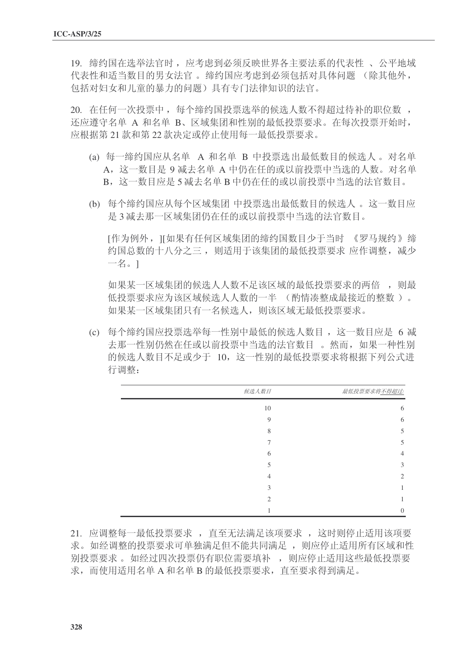19. 缔约国在选举法官时, 应考虑到必须反映世界各主要法系的代表性、 公平地域 代表性和适当数目的男女法官。缔约国应考虑到必须包括对具体问题 (除其他外, 包括对妇女和儿童的暴力的问题)具有专门法律知识的法官。

20. 在任何一次投票中, 每个缔约国投票选举的候选人数不得超过待补的职位数, 还应遵守名单 A 和名单 B、区域集团和性别的最低投票要求。在每次投票开始时, 应根据第21款和第22款决定或停止使用每一最低投票要求。

- (a) 每一缔约国应从名单 A 和名单 B 中投票选出最低数目的候选人。对名单 A. 这一数目是 9 减夫名单 A 中仍在任的或以前投票中当选的人数。对名单 B, 这一数目应是 5 减夫名单 B 中仍在任的或以前投票中当选的法官数目。
- (b) 每个缔约国应从每个区域集团 中投票选出最低数目的候选人。这一数目应 是 3 减去那一区域集团仍在任的或以前投票中当选的法官数目。

[作为例外, II如果有任何区域集团的缔约国数目少于当时 《罗马规约》缔 约国总数的十八分之三, 则适用于该集团的最低投票要求 应作调整,减少 一名。]

如果某一区域集团的候选人人数不足该区域的最低投票要求的两倍, 则最 低投票要求应为该区域候选人人数的一半 (酌情凑整成最接近的整数)。 如果某一区域集团只有一名候选人, 则该区域无最低投票要求。

(c) 每个缔约国应投票选举每一性别中最低的候选人数目, 这一数目应是 6 减 去那一性别仍然在任或以前投票中当选的法官数目。然而,如果一种性别 的候选人数目不足或少于 10, 这一性别的最低投票要求将根据下列公式进 行调整:

| 候选人数目 | 最低投票要求将不得超过:   |
|-------|----------------|
| 10    | 6              |
| 9     | 6              |
| 8     | 5              |
|       | 5              |
| 6     | 4              |
| 5     | 3              |
|       | 2              |
| 3     |                |
| ↑     |                |
|       | $\overline{0}$ |

21. 应调整每一最低投票要求, 直至无法满足该项要求, 这时则停止适用该项要 求。如经调整的投票要求可单独满足但不能共同满足,则问应停止适用所有区域和性 别投票要求。如经过四次投票仍有职位需要填补, 则应停止适用这些最低投票要 水, 而使用活用名单 A 和名单 B 的最低投票要求, 直至要求得到满足。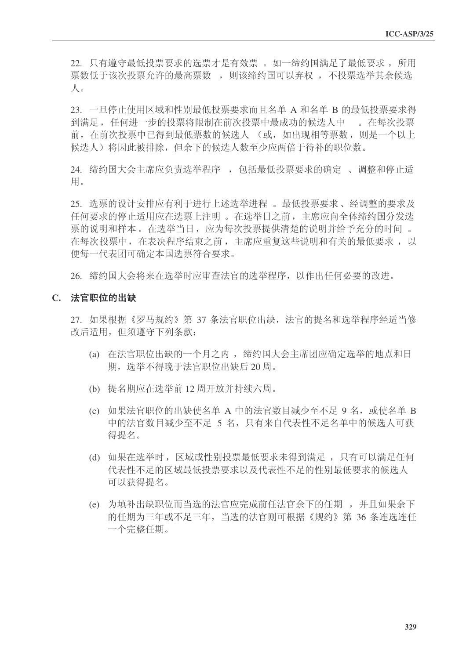22. 只有遵守最低投票要求的选票才是有效票 。如一缔约国满足了最低要求, 所用 票数低于该次投票允许的最高票数,则该缔约国可以弃权,不投票选举其余候选  $\Lambda$ .

23. 一旦停止使用区域和性别最低投票要求而且名单 A 和名单 B 的最低投票要求得 到满足, 任何进一步的投票将限制在前次投票中最成功的候选人中。。在每次投票 前, 在前次投票中已得到最低票数的候选人 (或, 如出现相等票数, 则是一个以上 候选人) 将因此被排除, 但余下的候选人数至少应两倍于待补的职位数。

24. 缔约国大会主席应负责选举程序, 包括最低投票要求的确定、调整和停止适 用。

25. 洗票的设计安排应有利于讲行上述洗举讲程。最低投票要求、经调整的要求及 √ 任何要求的停止适用应在选票上注明 。在选举日之前, 主席应向全体缔约国分发选 票的说明和样本。在选举当日, 应为每次投票提供清楚的说明并给予充分的时间。 在每次投票中, 在表决程序结束之前, 主席应重复这些说明和有关的最低要求, 以 便每一代表团可确定本国选票符合要求。

26. 缔约国大会将来在选举时应审查法官的选举程序, 以作出任何必要的改进。

#### C. 法官职位的出缺

27. 如果根据《罗马规约》第 37 条法官职位出缺, 法官的提名和选举程序经适当修 改后适用, 但须遵守下列条款:

- (a) 在法官职位出缺的一个月之内, 缔约国大会主席团应确定选举的地点和日 期, 选举不得晚于法官职位出缺后20周。
- (b) 提名期应在选举前 12 周开放并持续六周。
- (c) 如果法官职位的出缺使名单 A 中的法官数目减少至不足 9 名, 或使名单 B 中的法官数目减少至不足 5 名,只有来自代表性不足名单中的候选人可获 得提名。
- (d) 如果在选举时, 区域或性别投票最低要求未得到满足, 只有可以满足任何 代表性不足的区域最低投票要求以及代表性不足的性别最低要求的候选人 可以获得提名。
- (e) 为填补出缺职位而当选的法官应完成前任法官余下的任期, 并且如果余下 的任期为三年或不足三年, 当选的法官则可根据《规约》第 36 条连选连任 一个完整仟期。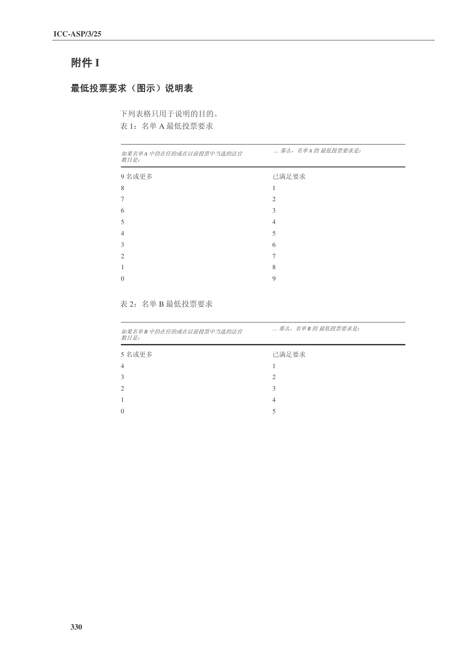# 附件 I

# 最低投票要求(图示)说明表

下列表格只用于说明的目的。

表 1: 名单 A 最低投票要求

| 如果名单A 中仍在任的或在以前投票中当选的法官<br>数目是: | 那么, 名单A 的 最低投票要求是: |
|---------------------------------|--------------------|
| 9名或更多                           | 已满足要求              |
| 8                               |                    |
|                                 | 2                  |
| 6                               | 3                  |
| 5                               | $\overline{4}$     |
| 4                               | 5                  |
| 3                               | 6                  |
| $\mathfrak{D}$                  | 7                  |
|                                 | 8                  |
| $\Omega$                        | 9                  |
|                                 |                    |

### 表 2: 名单 B 最低投票要求

| 如果名单B中仍在任的或在以前投票中当选的法官<br>数目是: | 那么, 名单B的最低投票要求是:            |  |
|--------------------------------|-----------------------------|--|
| 5 名或更多                         | 已满足要求                       |  |
| 4                              |                             |  |
| 3                              | $\mathcal{D}_{\mathcal{L}}$ |  |
| $\overline{c}$                 | 3                           |  |
| 1                              | 4                           |  |
| $\Omega$                       |                             |  |
|                                |                             |  |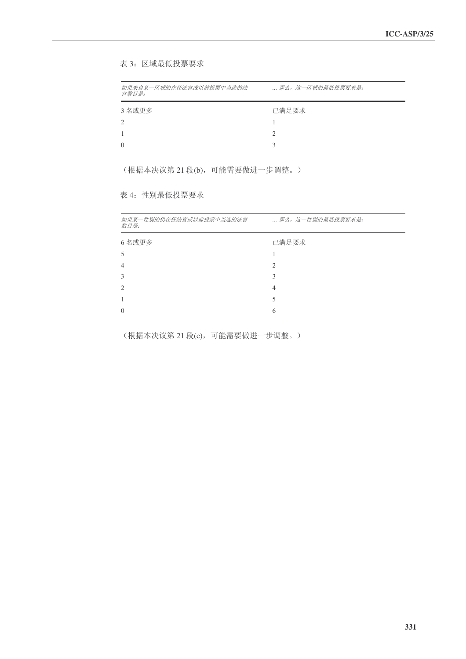表 3: 区域最低投票要求

| 如果来自某一区域的在任法官或以前投票中当选的法<br>宫数日是: | 那么, 这一区域的最低投票要求是: |
|----------------------------------|-------------------|
| 3 名或更多                           | 已满足要求             |
| 2                                |                   |
|                                  | 2                 |
| $\Omega$                         |                   |
|                                  |                   |

(根据本决议第 21 段(b), 可能需要做进一步调整。)

## 表 4: 性别最低投票要求

| 如果某一性别的仍在任法官或以前投票中当选的法官<br>数目是: | 那么, 这一性别的最低投票要求是: |
|---------------------------------|-------------------|
| 6名或更多                           | 已满足要求             |
| 5                               |                   |
| $\overline{4}$                  | $\overline{c}$    |
| 3                               | 3                 |
| $\overline{2}$                  | 4                 |
| 1                               | 5                 |
| $\theta$                        | 6                 |
|                                 |                   |

(根据本决议第 21 段(c), 可能需要做进一步调整。)